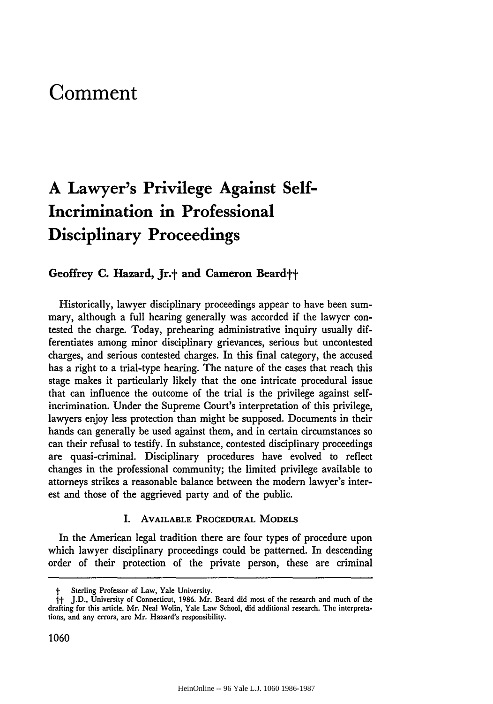# **Comment**

# **A Lawyer's Privilege Against Self-Incrimination in Professional Disciplinary Proceedings**

# **Geoffrey C. Hazard, Jr.t and Cameron Beardtt**

Historically, lawyer disciplinary proceedings appear to have been summary, although a full hearing generally was accorded if the lawyer contested the charge. Today, prehearing administrative inquiry usually differentiates among minor disciplinary grievances, serious but uncontested charges, and serious contested charges. In this final category, the accused has a right to a trial-type hearing. The nature of the cases that reach this stage makes it particularly likely that the one intricate procedural issue that can influence the outcome of the trial is the privilege against selfincrimination. Under the Supreme Court's interpretation of this privilege, lawyers enjoy less protection than might be supposed. Documents in their hands can generally be used against them, and in certain circumstances so can their refusal to testify. In substance, contested disciplinary proceedings are quasi-criminal. Disciplinary procedures have evolved to reflect changes in the professional community; the limited privilege available to attorneys strikes a reasonable balance between the modern lawyer's interest and those of the aggrieved party and of the public.

### **I. AVAILABLE** PROCEDURAL **MODELS**

In the American legal tradition there are four types of procedure upon which lawyer disciplinary proceedings could be patterned. In descending order of their protection of the private person, these are criminal

Sterling Professor of Law, Yale University.

**it J.D.,** University of Connecticut, **1986.** Mr. Beard did most of the research and much of the drafting for this article. Mr. Neal Wolin, Yale Law School, did additional research. The interpretations, and any errors, **are** Mr. Hazard's responsibility.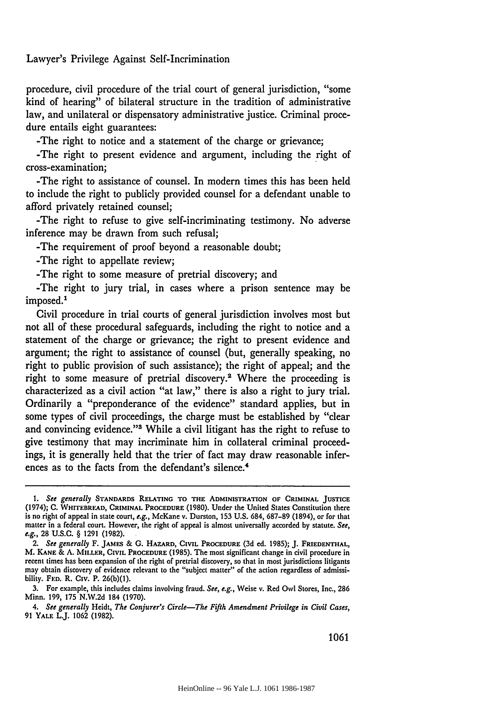procedure, civil procedure of the trial court of general jurisdiction, "some kind of hearing" of bilateral structure in the tradition of administrative law, and unilateral or dispensatory administrative justice. Criminal procedure entails eight guarantees:

-The right to notice and a statement of the charge or grievance;

-The right to present evidence and argument, including the right of cross-examination;

-The right to assistance of counsel. In modern times this has been held to include the right to publicly provided counsel for a defendant unable to afford privately retained counsel;

-The right to refuse to give self-incriminating testimony. No adverse inference may be drawn from such refusal;

-The requirement of proof beyond a reasonable doubt;

-The right to appellate review;

-The right to some measure of pretrial discovery; and

-The right to jury trial, in cases where a prison sentence may be imposed.'

Civil procedure in trial courts of general jurisdiction involves most but not all of these procedural safeguards, including the right to notice and a statement of the charge or grievance; the right to present evidence and argument; the right to assistance of counsel (but, generally speaking, no right to public provision of such assistance); the right of appeal; and the right to some measure of pretrial discovery.<sup>2</sup> Where the proceeding is characterized as a civil action "at law," there is also a right to jury trial. Ordinarily a "preponderance of the evidence" standard applies, but in some types of civil proceedings, the charge must be established by "clear and convincing evidence."<sup>3</sup> While a civil litigant has the right to refuse to give testimony that may incriminate him in collateral criminal proceedings, it is generally held that the trier of fact may draw reasonable inferences as to the facts from the defendant's silence.<sup>4</sup>

*<sup>1.</sup>* See generally **STANDARDS RELATING TO THE ADMINISTRATION OF CRIMINAL JUSTICE** (1974); **C. WHITEBREAD, CRIMINAL PROCEDURE (1980).** Under the United States Constitution there is no right of appeal in state court, e.g., McKane v. Durston, **153 U.S.** 684, **687-89** (1894), or for that matter in a federal court. However, the right of appeal is almost universally accorded **by** statute. See, e.g., **28 U.S.C.** § **1291 (1982).**

*<sup>2.</sup>* See generally F. **JAMES & G. HAZARD,** CIVIL **PROCEDURE (3d** ed. **1985); J. FRIEDENTHAL,** M. **KANE & A. MILLER, CIVIL PROCEDURE (1985).** The most significant change in civil procedure in recent times has been expansion of the right of pretrial discovery, so that in most jurisdictions litigants may obtain discovery of evidence relevant to the "subject matter" of the action regardless of admissibility. FED. R. Civ. P. **26(b)(1).**

**<sup>3.</sup>** For example, this includes claims involving fraud. See, e.g., Weise v. Red Owl Stores, Inc., **286** Minn. **199, 175 N.W.2d** 184 **(1970).**

*<sup>4.</sup>* See *generally* Heidt, The Conjurer's *Circle-The Fifth Amendment Privilege in Civil Cases,* **91 YALE** L.J. **1062 (1982).**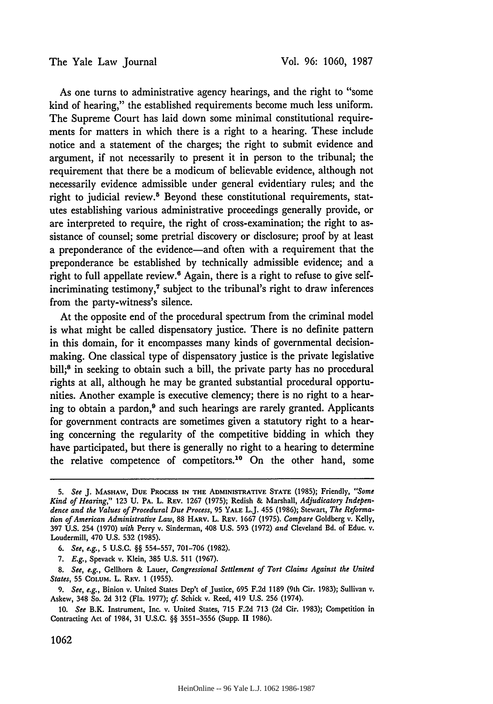As one turns to administrative agency hearings, and the right to "some kind of hearing," the established requirements become much less uniform. The Supreme Court has laid down some minimal constitutional requirements for matters in which there is a right to a hearing. These include notice and a statement of the charges; the right to submit evidence and argument, if not necessarily to present it in person to the tribunal; the requirement that there be a modicum of believable evidence, although not necessarily evidence admissible under general evidentiary rules; and the right to judicial review.<sup>5</sup> Beyond these constitutional requirements, statutes establishing various administrative proceedings generally provide, or are interpreted to require, the right of cross-examination; the right to assistance of counsel; some pretrial discovery or disclosure; proof by at least a preponderance of the evidence—and often with a requirement that the preponderance be established by technically admissible evidence; and a right to full appellate review.<sup>6</sup> Again, there is a right to refuse to give selfincriminating testimony,<sup>7</sup> subject to the tribunal's right to draw inferences from the party-witness's silence.

At the opposite end of the procedural spectrum from the criminal model is what might be called dispensatory justice. There is no definite pattern in this domain, for it encompasses many kinds of governmental decisionmaking. One classical type of dispensatory justice is the private legislative bill;<sup>8</sup> in seeking to obtain such a bill, the private party has no procedural rights at all, although he may be granted substantial procedural opportunities. Another example is executive clemency; there is no right to a hearing to obtain a pardon,<sup>9</sup> and such hearings are rarely granted. Applicants for government contracts are sometimes given a statutory right to a hearing concerning the regularity of the competitive bidding in which they have participated, but there is generally no right to a hearing to determine the relative competence of competitors.<sup>10</sup> On the other hand, some

*<sup>5.</sup> See* J. MASHAW, **DUE PROCESS IN THE** ADMINISTRATIVE **STATE (1985);** Friendly, *"Some Kind of Hearing,"* **123 U.** PA. L. REV. 1267 (1975); Redish & Marshall, *Adjudicatory Independence and the Values of Procedural Due Process,* 95 YALE L.J. 455 (1986); Stewart, *The Reformation of American Administrative Law,* 88 HARV. L. REV. 1667 (1975). *Compare* Goldberg v. Kelly, 397 U.S. 254 (1970) *with* Perry v. Sinderman, 408 U.S. 593 (1972) *and* Cleveland Bd. of Educ. v. Loudermill, 470 U.S. **532** (1985).

*<sup>6.</sup> See, e.g.,* **5** U.S.C. §§ 554-557, 701-706 (1982).

*<sup>7.</sup> E.g.,* Spevack v. Klein, 385 U.S. 511 (1967).

*<sup>8.</sup> See, e.g.,* Gellhorn & Lauer, *Congressional Settlement of Tort Claims Against the United States,* 55 CoLuM. L. REv. 1 (1955).

*<sup>9.</sup> See, e.g.,* Binion v. United States Dep't of Justice, 695 F.2d 1189 (9th Cir. 1983); Sullivan v. Askew, 348 So. 2d 312 (Fla. 1977); *cf.* Schick v. Reed, 419 U.S. 256 (1974).

<sup>10.</sup> *See* B.K. Instrument, Inc. v. United States, 715 F.2d **713** (2d Cir. 1983); Competition in Contracting Act of 1984, **31** U.S.C. §§ 3551-3556 (Supp. 11 1986).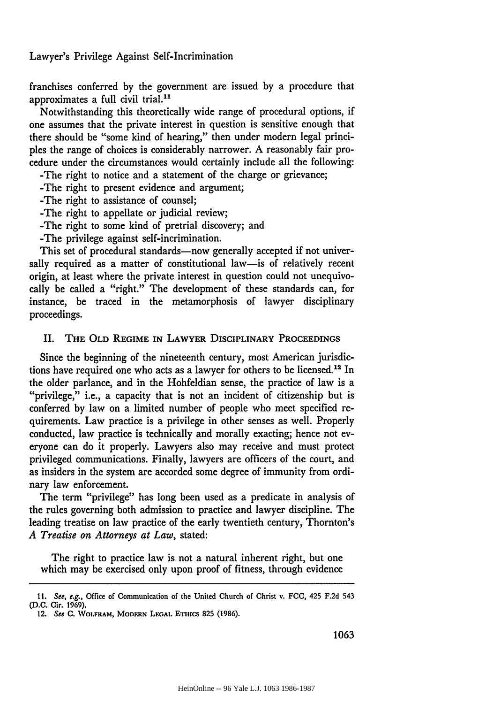franchises conferred **by** the government are issued **by** a procedure that approximates a full civil trial.<sup>11</sup>

Notwithstanding this theoretically wide range of procedural options, if one assumes that the private interest in question is sensitive enough that there should be "some kind of hearing," then under modern legal principles the range of choices is considerably narrower. A reasonably fair procedure under the circumstances would certainly include all the following:

-The right to notice and a statement of the charge or grievance;

-The right to present evidence and argument;

-The right to assistance of counsel;

-The right to appellate or judicial review;

-The right to some kind of pretrial discovery; and

-The privilege against self-incrimination.

This set of procedural standards—now generally accepted if not universally required as a matter of constitutional law-is of relatively recent origin, at least where the private interest in question could not unequivocally be called a "right." The development of these standards can, for instance, be traced in the metamorphosis of lawyer disciplinary proceedings.

#### II. **THE OLD REGIME IN LAWYER DISCIPLINARY PROCEEDINGS**

Since the beginning of the nineteenth century, most American jurisdictions have required one who acts as a lawyer for others to be licensed.<sup>12</sup> In the older parlance, and in the Hohfeldian sense, the practice of law is a "privilege," i.e., a capacity that is not an incident of citizenship but is conferred by law on a limited number of people who meet specified requirements. Law practice is a privilege in other senses as well. Properly conducted, law practice is technically and morally exacting; hence not everyone can do it properly. Lawyers also may receive and must protect privileged communications. Finally, lawyers are officers of the court, and as insiders in the system are accorded some degree of immunity from ordinary law enforcement.

The term "privilege" has long been used as a predicate in analysis of the rules governing both admission to practice and lawyer discipline. The leading treatise on law practice of the early twentieth century, Thornton's *A Treatise on Attorneys at Law,* stated:

The right to practice law is not a natural inherent right, but one which may be exercised only upon proof of fitness, through evidence

**<sup>11.</sup>** See, e.g., Office of Communication of the United Church of Christ v. FCC, 425 **F.2d** 543 **(D.C. Cir. 1969).**

<sup>12.</sup> See **C. WOLFRAM,** MODERN **LEGAL** ETHics **825 (1986).**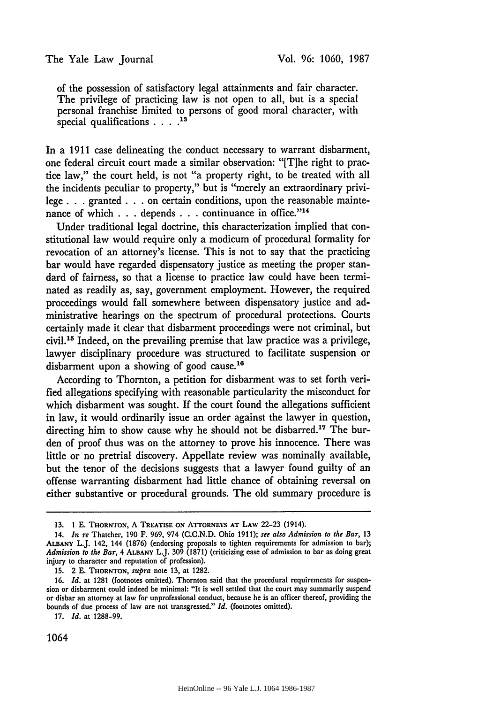of the possession of satisfactory legal attainments and fair character. The privilege of practicing law is not open to all, but is a special personal franchise limited to persons of good moral character, with special qualifications **.... 13**

In a 1911 case delineating the conduct necessary to warrant disbarment, one federal circuit court made a similar observation: "[T]he right to practice law," the court held, is not "a property right, to be treated with all the incidents peculiar to property," but is "merely an extraordinary privilege. **. .** granted. **. .** on certain conditions, upon the reasonable maintenance of which . . . depends . . . continuance in office."<sup>14</sup>

Under traditional legal doctrine, this characterization implied that constitutional law would require only a modicum of procedural formality for revocation of an attorney's license. This is not to say that the practicing bar would have regarded dispensatory justice as meeting the proper standard of fairness, so that a license to practice law could have been terminated as readily as, say, government employment. However, the required proceedings would fall somewhere between dispensatory justice and administrative hearings on the spectrum of procedural protections. Courts certainly made it clear that disbarment proceedings were not criminal, but civil.15 Indeed, on the prevailing premise that law practice was a privilege, lawyer disciplinary procedure was structured to facilitate suspension or disbarment upon a showing of good cause.<sup>16</sup>

According to Thornton, a petition for disbarment was to set forth verified allegations specifying with reasonable particularity the misconduct for which disbarment was sought. If the court found the allegations sufficient in law, it would ordinarily issue an order against the lawyer in question, directing him to show cause why he should not be disbarred.17 The burden of proof thus was on the attorney to prove his innocence. There was little or no pretrial discovery. Appellate review was nominally available, but the tenor of the decisions suggests that a lawyer found guilty of an offense warranting disbarment had little chance of obtaining reversal on either substantive or procedural grounds. The old summary procedure is

**15.** 2 **E. THORNTON,** *supra* note **13,** at **1282.**

**17.** *Id.* at **1288-99.**

<sup>13. 1</sup> E. THORNTON, A TREATISE ON ATTORNEYS AT LAW 22-23 (1914).

<sup>14.</sup> *In re* Thatcher, 190 F. **969,** 974 **(C.C.N.D.** Ohio 1911); *see also Admission to the Bar,* **13 ALBANY** L.J. 142, 144 **(1876)** (endorsing proposals to tighten requirements for admission to bar); *Admission to the Bar,* 4 **ALBANY** L.J. **309 (1871)** (criticizing ease of admission to bar as doing great injury to character and reputation of profession).

**<sup>16.</sup>** *Id.* at **1281** (footnotes omitted). Thornton said that the procedural requirements for suspension or disbarment could indeed be minimal: "It is well settled that the court may summarily suspend or disbar an attorney at law for unprofessional conduct, because he is an officer thereof, providing the bounds of due process of law are not transgressed." *Id.* (footnotes omitted).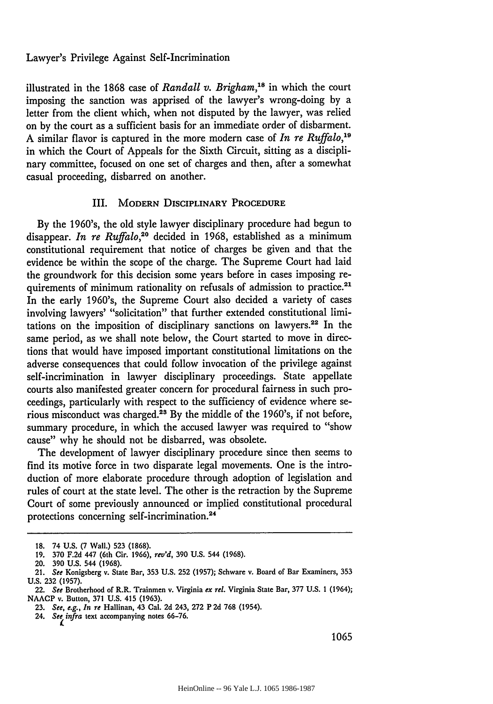illustrated in the 1868 case of *Randall v. Brigham,18* in which the court imposing the sanction was apprised of the lawyer's wrong-doing by a letter from the client which, when not disputed by the lawyer, was relied on by the court as a sufficient basis for an immediate order of disbarment. A similar flavor is captured in the more modern case of *In re Ruffalo,19* in which the Court of Appeals for the Sixth Circuit, sitting as a disciplinary committee, focused on one set of charges and then, after a somewhat casual proceeding, disbarred on another.

## III. MODERN DISCIPLINARY PROCEDURE

**By** the 1960's, the old style lawyer disciplinary procedure had begun to disappear. *In re Ruffalo,20* decided in 1968, established as a minimum constitutional requirement that notice of charges be given and that the evidence be within the scope of the charge. The Supreme Court had laid the groundwork for this decision some years before in cases imposing requirements of minimum rationality on refusals of admission to practice.<sup>21</sup> In the early 1960's, the Supreme Court also decided a variety of cases involving lawyers' "solicitation" that further extended constitutional limitations on the imposition of disciplinary sanctions on lawyers.22 In the same period, as we shall note below, the Court started to move in directions that would have imposed important constitutional limitations on the adverse consequences that could follow invocation of the privilege against self-incrimination in lawyer disciplinary proceedings. State appellate courts also manifested greater concern for procedural fairness in such proceedings, particularly with respect to the sufficiency of evidence where serious misconduct was charged.<sup>23</sup> By the middle of the 1960's, if not before, summary procedure, in which the accused lawyer was required to "show cause" why he should not be disbarred, was obsolete.

The development of lawyer disciplinary procedure since then seems to find its motive force in two disparate legal movements. One is the introduction of more elaborate procedure through adoption of legislation and rules of court at the state level. The other is the retraction by the Supreme Court of some previously announced or implied constitutional procedural protections concerning self-incrimination. <sup>24</sup>

**<sup>18.</sup>** 74 **U.S.** (7 Wall.) **523 (1868).**

**<sup>19. 370</sup> F.2d** 447 (6th Cir. 1966), *rev'd,* **390 U.S.** 544 (1968).

<sup>20.</sup> **390 U.S.** 544 **(1968).**

<sup>21.</sup> *See* Konigsberg v. State Bar, **353** U.S. 252 (1957); Schware v. Board of Bar Examiners, **353 U.S. 232** (1957).

**<sup>22.</sup>** *See* Brotherhood of R.R. Trainmen **v.** Virginia *ex rel.* Virginia State Bar, **377 U.S.** 1 (1964); **NAACP v. Button, 371 U.S. 415 (1963).**

**<sup>23.</sup>** *See, e.g., In re* Hallinan, **43** Cal. **2d 243, 272 P 2d 768** (1954).

**<sup>24.</sup>** *See infra* text accompanying notes **66-76.**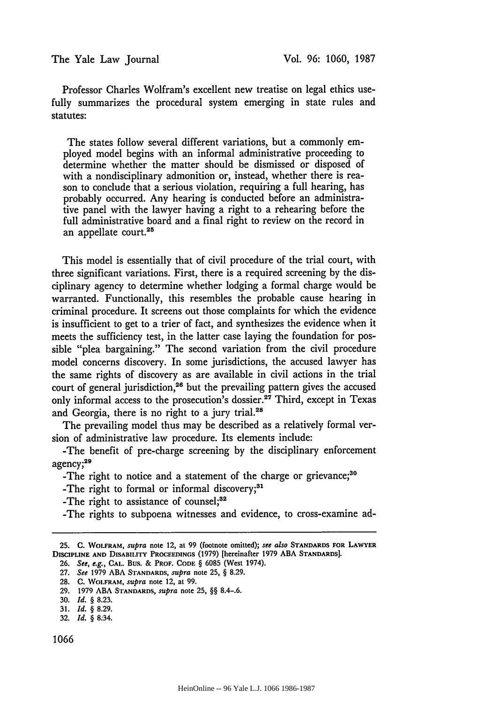Professor Charles Wolfram's excellent new treatise on legal ethics usefully summarizes the procedural system emerging in state rules and statutes:

The states follow several different variations, but a commonly employed model begins with an informal administrative proceeding to determine whether the matter should be dismissed or disposed of with a nondisciplinary admonition or, instead, whether there is reason to conclude that a serious violation, requiring a full hearing, has probably occurred. Any hearing is conducted before an administrative panel with the lawyer having a right to a rehearing before the full administrative board and a final right to review on the record in an appellate court.<sup>25</sup>

This model is essentially that of civil procedure of the trial court, with three significant variations. First, there is a required screening by the disciplinary agency to determine whether lodging a formal charge would be warranted. Functionally, this resembles the probable cause hearing in criminal procedure. It screens out those complaints for which the evidence is insufficient to get to a trier of fact, and synthesizes the evidence when it meets the sufficiency test, in the latter case laying the foundation for possible "plea bargaining." The second variation from the civil procedure model concerns discovery. In some jurisdictions, the accused lawyer has the same rights of discovery as are available in civil actions in the trial court of general jurisdiction, 26 but the prevailing pattern gives the accused only informal access to the prosecution's dossier.<sup>27</sup> Third, except in Texas and Georgia, there is no right to a jury trial.<sup>28</sup>

The prevailing model thus may be described as a relatively formal version of administrative law procedure. Its elements include:

-The benefit of pre-charge screening by the disciplinary enforcement agency; 2

-The right to notice and a statement of the charge or grievance;<sup>30</sup>

-The right to formal or informal discovery;<sup>31</sup>

-The right to assistance of counsel; $32$ 

-The rights to subpoena witnesses and evidence, to cross-examine ad-

**<sup>25.</sup> C. WOLFRAM,** supra **note** 12, at **99** (footnote omitted); see also **STANDARDS FOR LAWYER DISCIPLINE AND DISABILYrr PROCEEDINGS (1979)** [hereinafter 1979 **ABA STANDARDS].**

**<sup>26.</sup>** *See, e.g.,* CAl.. Bus. & PROF. **CODE** § **6085 (West** 1974).

**<sup>27.</sup>** See 1979 **ABA STANDARDS,** *supra* note **25,** § **8.29.**

**<sup>28.</sup> C.** WOLFRAM, *supra* **note** 12, at 99.

**<sup>29.</sup>** 1979 ABA **STANDARDS,** supra **note** 25, §§ 8.4-.6.

**<sup>30.</sup>** *Id.* § **8.23.**

**<sup>31.</sup>** *Id.* § **8.29.**

**<sup>32.</sup>** *Id.* § 8:34.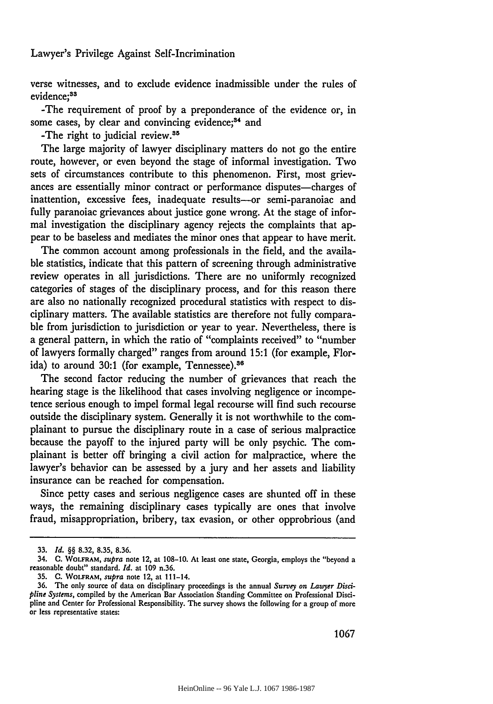verse witnesses, and to exclude evidence inadmissible under the rules of evidence:<sup>33</sup>

-The requirement of proof by a preponderance of the evidence or, in some cases, by clear and convincing evidence;<sup>34</sup> and

-The right to judicial review.35

The large majority of lawyer disciplinary matters do not go the entire route, however, or even beyond the stage of informal investigation. Two sets of circumstances contribute to this phenomenon. First, most grievances are essentially minor contract or performance disputes—charges of inattention, excessive fees, inadequate results-or semi-paranoiac and fully paranoiac grievances about justice gone wrong. At the stage of informal investigation the disciplinary agency rejects the complaints that appear to be baseless and mediates the minor ones that appear to have merit.

The common account among professionals in the field, and the available statistics, indicate that this pattern of screening through administrative review operates in all jurisdictions. There are no uniformly recognized categories of stages of the disciplinary process, and for this reason there are also no nationally recognized procedural statistics with respect to disciplinary matters. The available statistics are therefore not fully comparable from jurisdiction to jurisdiction or year to year. Nevertheless, there is a general pattern, in which the ratio of "complaints received" to "number of lawyers formally charged" ranges from around 15:1 (for example, Florida) to around 30:1 (for example, Tennessee).<sup>36</sup>

The second factor reducing the number of grievances that reach the hearing stage is the likelihood that cases involving negligence or incompetence serious enough to impel formal legal recourse will find such recourse outside the disciplinary system. Generally it is not worthwhile to the complainant to pursue the disciplinary route in a case of serious malpractice because the payoff to the injured party will be only psychic. The complainant is better off bringing a civil action for malpractice, where the lawyer's behavior can be assessed by a jury and her assets and liability insurance can be reached for compensation.

Since petty cases and serious negligence cases are shunted off in these ways, the remaining disciplinary cases typically are ones that involve fraud, misappropriation, bribery, tax evasion, or other opprobrious (and

**<sup>33.</sup>** *Id.* §§ **8.32, 8.35, 8.36.**

<sup>34.</sup> **C. WOLFRAM,** supra note 12, at **108-10.** At least one state, Georgia, employs the "beyond a reasonable doubt" standard. *Id.* at **109** n.36.

**<sup>35.</sup> C. WOLFRAM,** supra note 12, at 111-14.

**<sup>36.</sup>** The only source of data on disciplinary proceedings is the annual *Survey on Lawyer Discipline Systems,* compiled **by** the American Bar Association Standing Committee on Professional Discipline and Center for Professional Responsibility. The survey shows the following for a group of more or less representative states: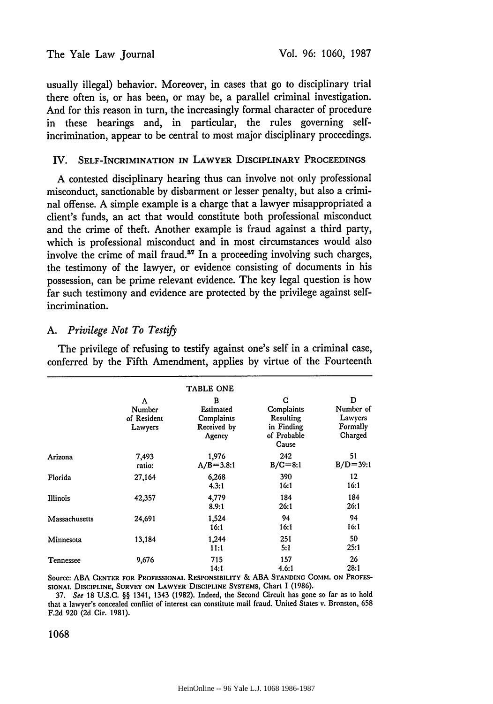usually illegal) behavior. Moreover, in cases that go to disciplinary trial there often is, or has been, or may be, a parallel criminal investigation. And for this reason in turn, the increasingly formal character of procedure in these hearings and, in particular, the rules governing selfincrimination, appear to be central to most major disciplinary proceedings.

## IV. SELF-INCRIMINATION **IN** LAWYER DISCIPLINARY **PROCEEDINGS**

**A** contested disciplinary hearing thus can involve not only professional misconduct, sanctionable **by** disbarment or lesser penalty, but also a criminal offense. A simple example is a charge that a lawyer misappropriated a client's funds, an act that would constitute both professional misconduct and the crime of theft. Another example is fraud against a third party, which is professional misconduct and in most circumstances would also involve the crime of mail fraud. $^{37}$  In a proceeding involving such charges, the testimony of the lawyer, or evidence consisting of documents in his possession, can be prime relevant evidence. The key legal question is how far such testimony and evidence are protected **by** the privilege against selfincrimination.

# *A. Privilege Not To Testijy*

The privilege of refusing to testify against one's self in a criminal case, conferred by the Fifth Amendment, applies by virtue of the Fourteenth

|                 |                                       | <b>TABLE ONE</b>                                      |                                                                    |                                                  |
|-----------------|---------------------------------------|-------------------------------------------------------|--------------------------------------------------------------------|--------------------------------------------------|
|                 | Λ<br>Number<br>of Resident<br>Lawyers | в<br>Estimated<br>Complaints<br>Received by<br>Agency | C<br>Complaints<br>Resulting<br>in Finding<br>of Probable<br>Cause | D<br>Number of<br>Lawyers<br>Formally<br>Charged |
| Arizona         | 7,493<br>ratio:                       | 1,976<br>$\Lambda/B = 3.3:1$                          | 242<br>$B/C = 8:1$                                                 | 51<br>$B/D = 39:1$                               |
| Florida         | 27,164                                | 6,268<br>4.3:1                                        | 390<br>16:1                                                        | 12<br>16:1                                       |
| <b>Illinois</b> | 42,357                                | 4,779<br>8.9:1                                        | 184<br>26:1                                                        | 184<br>26:1                                      |
| Massachusetts   | 24,691                                | 1,524<br>16:1                                         | 94<br>16:1                                                         | 94<br>16:1                                       |
| Minnesota       | 13,184                                | 1,244<br>11:1                                         | 251<br>5:1                                                         | 50<br>25:1                                       |
| Tennessee       | 9,676                                 | 715<br>14:1                                           | 157<br>4.6:1                                                       | 26<br>28:1                                       |

Source: ABA CENTER FOR PROFESSIONAL RESPONSIBILITY & ABA STANDING COMM. ON PROFES-SIONAi. **DISCIPLINE, SURVEY ON LAWYER** DISCIPLINE **SYSTEMS,** Chart I (1986).

37. See 18 U.S.C. §§ 1341, 1343 (1982). Indeed, the Second Circuit has gone so far as to hold that a lawyer's concealed conflict of interest can constitute mail fraud. United States v. Bronston, 658 F.2d 920 (2d Cir. 1981).

1068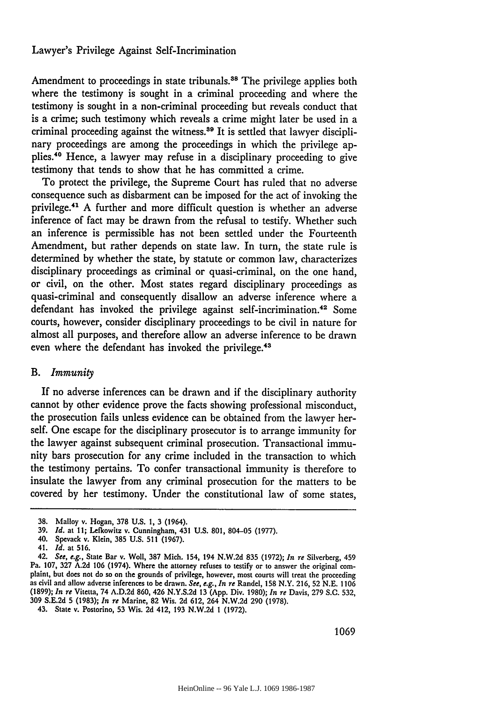Amendment to proceedings in state tribunals.<sup>88</sup> The privilege applies both where the testimony is sought in a criminal proceeding and where the testimony is sought in a non-criminal proceeding but reveals conduct that is a crime; such testimony which reveals a crime might later be used in a criminal proceeding against the witness.<sup>39</sup> It is settled that lawyer disciplinary proceedings are among the proceedings in which the privilege applies.<sup>40</sup> Hence, a lawyer may refuse in a disciplinary proceeding to give testimony that tends to show that he has committed a crime.

To protect the privilege, the Supreme Court has ruled that no adverse consequence such as disbarment can be imposed for the act of invoking the privilege.41 A further and more difficult question is whether an adverse inference of fact may be drawn from the refusal to testify. Whether such an inference is permissible has not been settled under the Fourteenth Amendment, but rather depends on state law. In turn, the state rule is determined by whether the state, by statute or common law, characterizes disciplinary proceedings as criminal or quasi-criminal, on the one hand, or civil, on the other. Most states regard disciplinary proceedings as quasi-criminal and consequently disallow an adverse inference where a defendant has invoked the privilege against self-incrimination.<sup>42</sup> Some courts, however, consider disciplinary proceedings to be civil in nature for almost all purposes, and therefore allow an adverse inference to be drawn even where the defendant has invoked the privilege.<sup>43</sup>

## B. *Immunity*

If no adverse inferences can be drawn and if the disciplinary authority cannot by other evidence prove the facts showing professional misconduct, the prosecution fails unless evidence can be obtained from the lawyer herself. One escape for the disciplinary prosecutor is to arrange immunity for the lawyer against subsequent criminal prosecution. Transactional immunity bars prosecution for any crime included in the transaction to which the testimony pertains. To confer transactional immunity is therefore to insulate the lawyer from any criminal prosecution for the matters to be covered by her testimony. Under the constitutional law of some states,

**<sup>38.</sup>** Malloy v. Hogan, **378 U.S.** 1, **3** (1964).

**<sup>39.</sup>** *Id.* at **11;** Lefkowitz v. Cunningham, 431 **U.S. 801,** 804-05 (1977).

<sup>40.</sup> Spevack v. Klein, **385** U.S. **511** (1967).

<sup>41.</sup> *Id.* at 516.

<sup>42.</sup> See, e.g., State Bar v. Woll, **387** Mich. 154, 194 **N.W.2d 835** (1972); *In re* Silverberg, 459 Pa. **107, 327** A.2d **106** (1974). Where the attorney refuses to testify or to answer the original com plaint, but does not do so on the grounds of privilege, however, most courts will treat the proceeding as civil and allow adverse inferences to be drawn. See, e.g., In re Randel, 158 N.Y. 216, 52 N.E. 1106 (1899); *In re* Vitetta, 74 A.D.2d **860,** 426 N.Y.S.2d **13** (App. Div. 1980); *In re* Davis, **279** S.C. 532, **309 S.E.2d 5** (1983); *In re* Marine, 82 Wis. **2d** 612, 264 **N.W.2d 290** (1978).

<sup>43.</sup> State v. Postorino, **53** Wis. **2d** 412, **193 N.W.2d** 1 (1972).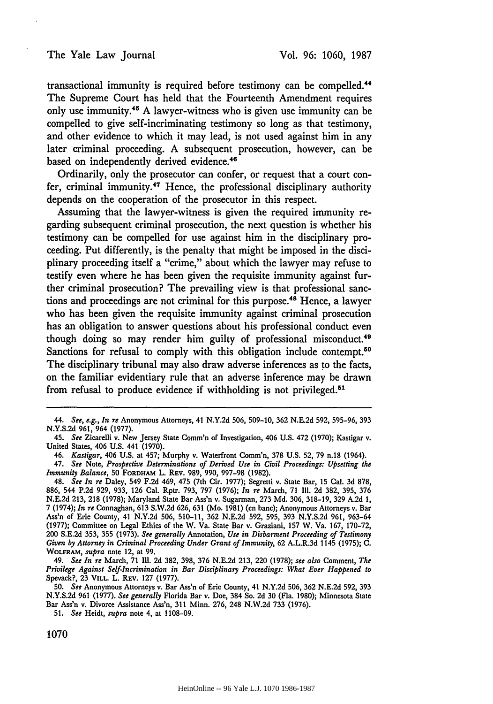transactional immunity is required before testimony can **be** compelled." The Supreme Court has held that the Fourteenth Amendment requires only use immunity.45 **A** lawyer-witness who is given use immunity can be compelled to give self-incriminating testimony so long as that testimony, and other evidence to which it may lead, is not used against him in any later criminal proceeding. **A** subsequent prosecution, however, can be based on independently derived evidence.<sup>46</sup>

Ordinarily, only the prosecutor can confer, or request that a court confer, criminal immunity.<sup>47</sup> Hence, the professional disciplinary authority depends on the cooperation of the prosecutor in this respect.

Assuming that the lawyer-witness is given the required immunity regarding subsequent criminal prosecution, the next question is whether his testimony can be compelled for use against him in the disciplinary proceeding. Put differently, is the penalty that might be imposed in the disciplinary proceeding itself a "crime," about which the lawyer may refuse to testify even where he has been given the requisite immunity against further criminal prosecution? The prevailing view is that professional sanctions and proceedings are not criminal for this purpose.<sup>48</sup> Hence, a lawyer who has been given the requisite immunity against criminal prosecution has an obligation to answer questions about his professional conduct even though doing so may render him guilty of professional misconduct. <sup>49</sup> Sanctions for refusal to comply with this obligation include contempt.<sup>50</sup> The disciplinary tribunal may also draw adverse inferences as to the facts, on the familiar evidentiary rule that an adverse inference may be drawn from refusal to produce evidence if withholding is not privileged. <sup>51</sup>

49. *See In re* March, 71 **111.** 2d 382, 398, 376 N.E.2d 213, 220 (1978); *see also* Comment, *The Privilege Against Self-Incrimination in Bar Disciplinary Proceedings: What Ever Happened to* Spevack?, 23 VILL. L. REv. 127 (1977).

51. *See* Heidt, *supra* note 4, at 1108-09.

1070

*<sup>44.</sup> See, e.g., In re* Anonymous Attorneys, 41 N.Y.2d 506, 509-10, 362 N.E.2d 592, 595-96, 393 N.Y.S.2d 961, 964 (1977).

<sup>45.</sup> *See* Zicarelli v. New Jersey State Comm'n of Investigation, 406 U.S. 472 (1970); Kastigar v. United States, 406 U.S. 441 (1970).

<sup>46.</sup> *Kastigar,* 406 U.S. at 457; Murphy v. Waterfront **Comm'n,** 378 U.S. 52, 79 n.18 (1964).

<sup>47.</sup> *See* Note, *Prospective Determinations of Derived Use in Civil Proceedings: Upsetting the Immunity Balance,* 50 **FORDHAM** L. REV. 989, 990, 997-98 (1982).

<sup>48.</sup> *See In re* Daley, 549 F.2d 469, 475 (7th Cir. 1977); Segretti **v.** State Bar, 15 Cal. **3d** 878, 886, 544 P.2d 929, 933, 126 Cal. Rptr. 793, 797 (1976); *In re* March, 71 Ill. 2d 382, 395, 376 N.E.2d 213, 218 (1978); Maryland State Bar Ass'n v. Sugarman, 273 Md. 306, 318-19, 329 **A.2d 1,** 7 (1974); *In re* Connaghan, 613 S.W.2d 626, 631 (Mo. 1981) (en bane); Anonymous Attorneys v. Bar Ass'n of Erie County, 41 N.Y.2d 506, 510-11, 362 N.E.2d 592, 595, 393 N.Y.S.2d 961, 963-64 (1977); Committee on Legal Ethics of the W. Va. State Bar v. Graziani, 157 W. Va. 167, 170-72, 200 **S.E.2d** 353, 355 (1973). *See generally* Annotation, *Use in Disbarment Proceeding of Testimony Given by Attorney in Criminal Proceeding Under Grant of Immunity,* 62 A.L.R.3d 1145 (1975); **C.** WOLFRAM, *supra* note 12, at 99.

<sup>50.</sup> *See* Anonymous Attorneys v. Bar Ass'n of Erie County, 41 N.Y.2d 506, 362 N.E.2d 592, 393 N.Y.S.2d 961 (1977). *See generally* Florida Bar v. Doe, 384 So. 2d 30 (Fla. 1980); Minnesota State Bar Ass'n v. Divorce Assistance Ass'n, 311 Minn. 276, 248 N.W.2d 733 (1976).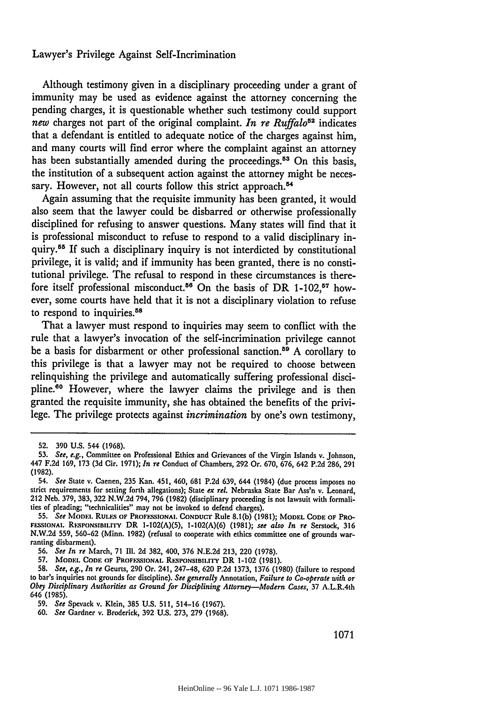Although testimony given in a disciplinary proceeding under a grant of immunity may be used as evidence against the attorney concerning the pending charges, it is questionable whether such testimony could support *new* charges not part of the original complaint. *In re Ruffalo*<sup>52</sup> indicates that a defendant is entitled to adequate notice of the charges against him, and many courts will find error where the complaint against an attorney has been substantially amended during the proceedings.<sup>53</sup> On this basis, the institution of a subsequent action against the attorney might be necessary. However, not all courts follow this strict approach.<sup>54</sup>

Again assuming that the requisite immunity has been granted, it would also seem that the lawyer could be disbarred or otherwise professionally disciplined for refusing to answer questions. Many states will find that it is professional misconduct to refuse to respond to a valid disciplinary inquiry.55 If such a disciplinary inquiry is not interdicted by constitutional privilege, it is valid; and if immunity has been granted, there is no constitutional privilege. The refusal to respond in these circumstances is therefore itself professional misconduct.<sup>56</sup> On the basis of DR 1-102,<sup>57</sup> however, some courts have held that it is not a disciplinary violation to refuse to respond to inquiries.<sup>58</sup>

That a lawyer must respond to inquiries may seem to conflict with the rule that a lawyer's invocation of the self-incrimination privilege cannot be a basis for disbarment or other professional sanction.<sup>59</sup> A corollary to this privilege is that a lawyer may not be required to choose between relinquishing the privilege and automatically suffering professional discipline.60 However, where the lawyer claims the privilege and is then granted the requisite immunity, she has obtained the benefits of the privilege. The privilege protects against *incrimination* by one's own testimony,

<sup>52. 390</sup> U.S. 544 (1968).

<sup>53.</sup> *See, e.g.,* Committee on Professional Ethics and Grievances of the Virgin Islands v. Johnson, 447 F.2d 169, 173 (3d Cir. 1971); *In re* Conduct of Chambers, 292 Or. 670, 676, 642 P.2d 286, 291 (1982).

<sup>54.</sup> *See* State v. Cacnen, 235 Kan. 451, 460, 681 P.2d 639, 644 (1984) (due process imposes no strict requirements for setting forth allegations); State ex rel. Nebraska State Bar Ass'n v. Leonard, 212 Neb. 379, 383, 322 N.W.2d 794, 796 (1982) (disciplinary proceeding is not lawsuit with formalities of pleading; "technicalities" may not be invoked to defend charges).

<sup>55.</sup> See MODEL RULES OF PROFESSIONAL CONDUCT Rule 8.1(b) (1981); MODEL CODE OF PRO-**FESSIONAi. RESPONSIBli.rrY** DR **1-102(A)(5), 1-102(A)(6) (1981);** *see also In re* Serstock, **316 N.W.2d 559, 560-62 (Minn. 1982)** (refusal to cooperate with ethics committee one of grounds warranting disbarment).

**<sup>56.</sup>** *See In re* March, **71 111. 2d 382,** 400, **376 N.E.2d 213,** 220 **(1978).**

**<sup>57.</sup> MODEL CODE OF PROFE.SSIONAL. RESPONSIBII.IrY** DR 1-102 **(1981).**

**<sup>58.</sup>** *See, e.g., In re* Geurts, **290** Or. 241, 247-48, **620 P.2d 1373, 1376 (1980)** (failure to respond to bar's inquiries not grounds for discipline). See generally Annotation, Failure to Co-operate with or<br>Obey Disciplinary Authorities as Ground for Disciplining Attorney—Modern Cases, 37 A.L.R.4th 646 (1985).

<sup>59.</sup> *See* Spevack v. Klein, 385 **U.S.** 511, 514-16 (1967).

**<sup>60.</sup>** *See* Gardner v. Broderick, 392 **U.S.** 273, 279 (1968).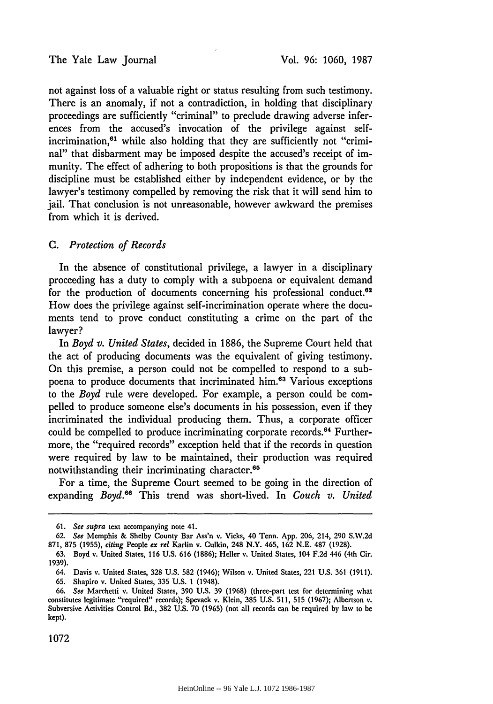not against loss of a valuable right or status resulting from such testimony. There is an anomaly, if not a contradiction, in holding that disciplinary proceedings are sufficiently "criminal" to preclude drawing adverse inferences from the accused's invocation of the privilege against selfincrimination, $61$  while also holding that they are sufficiently not "criminal" that disbarment may be imposed despite the accused's receipt of immunity. The effect of adhering to both propositions is that the grounds for discipline must be established either by independent evidence, or by the lawyer's testimony compelled by removing the risk that it will send him to jail. That conclusion is not unreasonable, however awkward the premises from which it is derived.

## *C. Protection of Records*

In the absence of constitutional privilege, a lawyer in a disciplinary proceeding has a duty to comply with a subpoena or equivalent demand for the production of documents concerning his professional conduct. $62$ How does the privilege against self-incrimination operate where the documents tend to prove conduct constituting a crime on the part of the lawyer?

In *Boyd v. United States,* decided in 1886, the Supreme Court held that the act of producing documents was the equivalent of giving testimony. On this premise, a person could not be compelled to respond to a subpoena to produce documents that incriminated him.<sup>63</sup> Various exceptions to the *Boyd* rule were developed. For example, a person could be compelled to produce someone else's documents in his possession, even if they incriminated the individual producing them. Thus, a corporate officer could be compelled to produce incriminating corporate records.<sup>64</sup> Furthermore, the "required records" exception held that if the records in question were required by law to be maintained, their production was required notwithstanding their incriminating character.<sup>65</sup>

For a time, the Supreme Court seemed to be going in the direction of expanding *Boyd.66* This trend was short-lived. In *Couch v. United*

**<sup>61.</sup>** *See supra* text accompanying note 41.

<sup>62.</sup> *See* Memphis & Shelby County Bar Ass'n v. Vicks, 40 Tenn. App. 206, 214, 290 S.W.2d 871, **875** (1955), *citing* People *ex rel* Karlin v. Culkin, 248 N.Y. 465, 162 N.E. 487 (1928).

**<sup>63.</sup>** Boyd v. United States, **116 U.S.** 616 (1886); Heller v. United States, 104 F.2d 446 (4th Cir. 1939).

<sup>64.</sup> Davis v. United States, **328** U.S. **582** (1946); Wilson v. United States, 221 U.S. 361 (1911). **65.** Shapiro v. United States, **335** U.S. 1 (1948).

<sup>66.</sup> *See* Marchetti v. United States, **390** U.S. 39 (1968) (three-part test for determining what constitutes legitimate "required" records); Spevack v. Klein, **385** U.S. 511, **515** (1967); Albertson v. Subversive Activities Control Bd., 382 U.S. 70 (1965) (not all records can be required by law to be kept).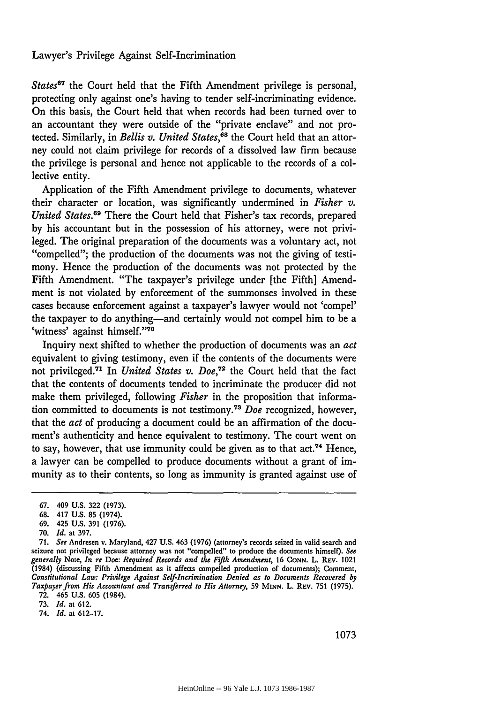*States67* the Court held that the Fifth Amendment privilege is personal, protecting only against one's having to tender self-incriminating evidence. On this basis, the Court held that when records had been turned over to an accountant they were outside of the "private enclave" and not protected. Similarly, in *Bellis v. United States, <sup>8</sup>*the Court held that an attorney could not claim privilege for records of a dissolved law firm because the privilege is personal and hence not applicable to the records of a collective entity.

Application of the Fifth Amendment privilege to documents, whatever their character or location, was significantly undermined in *Fisher v. United States.*<sup>69</sup> There the Court held that Fisher's tax records, prepared by his accountant but in the possession of his attorney, were not privileged. The original preparation of the documents was a voluntary act, not "compelled"; the production of the documents was not the giving of testimony. Hence the production of the documents was not protected by the Fifth Amendment. "The taxpayer's privilege under [the Fifth] Amendment is not violated by enforcement of the summonses involved in these cases because enforcement against a taxpayer's lawyer would not 'compel' the taxpayer to do anything-and certainly would not compel him to be a 'witness' against himself."'70

Inquiry next shifted to whether the production of documents was an *act* equivalent to giving testimony, even if the contents of the documents were not privileged.<sup>71</sup> In *United States v. Doe*,<sup>72</sup> the Court held that the fact that the contents of documents tended to incriminate the producer did not make them privileged, following *Fisher* in the proposition that information committed to documents is not testimony.73 *Doe* recognized, however, that the *act* of producing a document could be an affirmation of the document's authenticity and hence equivalent to testimony. The court went on to say, however, that use immunity could be given as to that  $act.^{74}$  Hence, a lawyer can be compelled to produce documents without a grant of immunity as to their contents, so long as immunity is granted against use of

73. *Id.* at 612.

74. *Id.* at 612-17.

<sup>67. 409</sup> U.S. 322 (1973).

<sup>68. 417</sup> U.S. 85 (1974).

<sup>69. 425</sup> U.S. 391 (1976).

<sup>70.</sup> *Id.* at 397.

<sup>71.</sup> *See* Andresen v. Maryland, 427 U.S. 463 (1976) (attorney's records seized in valid search and seizure not privileged because attorney was not "compelled" to produce the documents himself). *See generally* Note, *In re* Doe: *Required Records and the Fifth Amendment,* 16 **CONN.** L. REv. 1021 (1984) (discussing Fifth Amendment as it affects compelled production of documents); Comment, *Constitutional Law: Privilege Against Self-Incrimination Denied as to Documents Recovered by Taxpayer from His Accountant and Transferred to His Attorney,* 59 **MINN.** L. REV. 751 (1975). 72. 465 U.S. 605 (1984).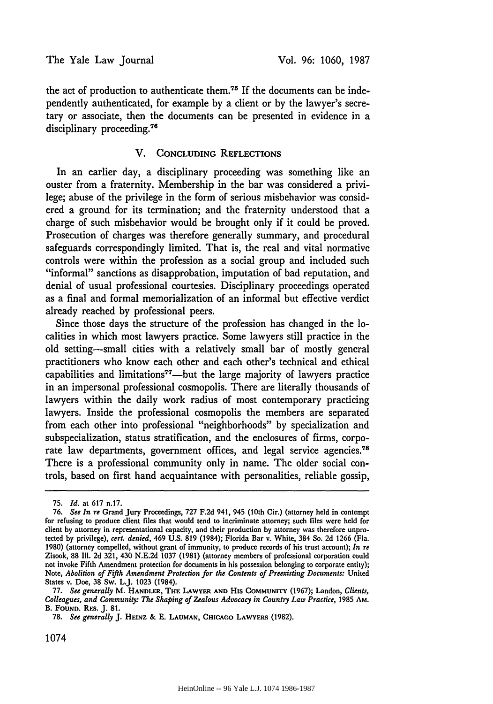the act of production to authenticate them."5 **If** the documents can be independently authenticated, for example **by** a client or **by** the lawyer's secretary or associate, then the documents can be presented in evidence in a disciplinary proceeding.<sup>76</sup>

### V. **CONCLUDING** REFLECTIONS

In an earlier day, a disciplinary proceeding was something like an ouster from a fraternity. Membership in the bar was considered a privilege; abuse of the privilege in the form of serious misbehavior was considered a ground for its termination; and the fraternity understood that a charge of such misbehavior would be brought only if it could be proved. Prosecution of charges was therefore generally summary, and procedural safeguards correspondingly limited. That is, the real and vital normative controls were within the profession as a social group and included such "informal" sanctions as disapprobation, imputation of bad reputation, and denial of usual professional courtesies. Disciplinary proceedings operated as a final and formal memorialization of an informal but effective verdict already reached by professional peers.

Since those days the structure of the profession has changed in the localities in which most lawyers practice. Some lawyers still practice in the old setting-small cities with a relatively small bar of mostly general practitioners who know each other and each other's technical and ethical capabilities and limitations<sup> $77$ </sup>—but the large majority of lawyers practice in an impersonal professional cosmopolis. There are literally thousands of lawyers within the daily work radius of most contemporary practicing lawyers. Inside the professional cosmopolis the members are separated from each other into professional "neighborhoods" by specialization and subspecialization, status stratification, and the enclosures of firms, corporate law departments, government offices, and legal service agencies.<sup>78</sup> There is a professional community only in name. The older social controls, based on first hand acquaintance with personalities, reliable gossip,

<sup>75.</sup> *Id.* at 617 n.17.

**<sup>76.</sup>** *See In re* Grand Jury Proceedings, **727 F.2d** 941, 945 (10th Cir.) (attorney held in contempt for refusing to produce client files that would tend to incriminate attorney; such files were **held** for client **by** attorney in representational capacity, and their production **by** attorney was therefore unprotected **by** privilege), *cert. denied,* 469 **U.S. 819** (1984); Florida Bar v. White, 384 So. **2d 1266** (Fla. **1980)** (attorney compelled, without grant of immunity, to produce records of his trust account); *In re* Zisook, **88 Il1. 2d 321,** 430 **N.E.2d 1037 (1981)** (attorney members of professional corporation could not invoke Fifth Amendment protection for documents in his possession belonging to corporate entity); Note, *Abolition of Fifth Amendment Protection for the Contents of Preexisting Documents:* United States v. Doe, **38** Sw. L.J. 1023 (1984).

<sup>77.</sup> *See generally* M. HANDLER, THE **LAWYER AND** His COMMUNrrY (1967); Landon, *Clients, Colleagues, and Community: The Shaping of Zealous Advocacy in Country Law Practice,* 1985 **Am.** B. **FOUND.** Rts. **J. 81.**

<sup>78.</sup> *See generally* J. HEINZ & E. **LAUMAN, CHICAGO LAWYERS** (1982).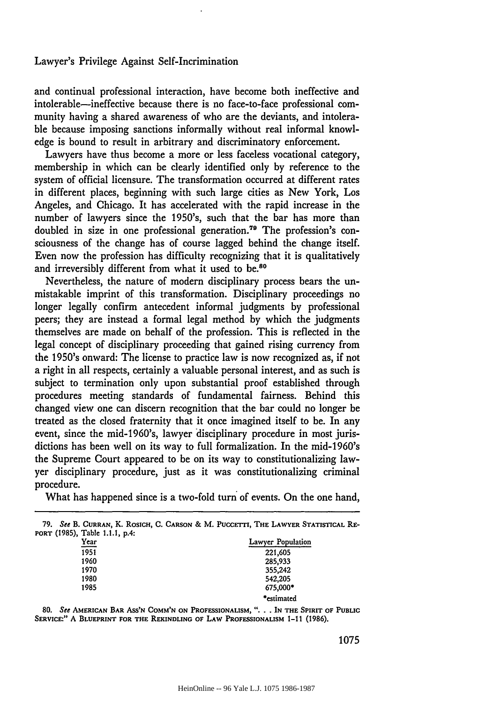and continual professional interaction, have become both ineffective and intolerable-ineffective because there is no face-to-face professional community having a shared awareness of who are the deviants, and intolerable because imposing sanctions informally without real informal knowledge is bound to result in arbitrary and discriminatory enforcement.

Lawyers have thus become a more or less faceless vocational category, membership in which can be clearly identified only by reference to the system of official licensure. The transformation occurred at different rates in different places, beginning with such large cities as New York, Los Angeles, and Chicago. It has accelerated with the rapid increase in the number of lawyers since the 1950's, such that the bar has more than doubled in size in one professional generation.<sup>79</sup> The profession's consciousness of the change has of course lagged behind the change itself. Even now the profession has difficulty recognizing that it is qualitatively and irreversibly different from what it used to be.<sup>80</sup>

Nevertheless, the nature of modern disciplinary process bears the unmistakable imprint of this transformation. Disciplinary proceedings no longer legally confirm antecedent informal judgments by professional peers; they are instead a formal legal method by which the judgments themselves are made on behalf of the profession. This is reflected in the legal concept of disciplinary proceeding that gained rising currency from the 1950's onward: The license to practice law is now recognized as, if not a right in all respects, certainly a valuable personal interest, and as such is subject to termination only upon substantial proof established through procedures meeting standards of fundamental fairness. Behind this changed view one can discern recognition that the bar could no longer be treated as the closed fraternity that it once imagined itself to be. In any event, since the mid-1960's, lawyer disciplinary procedure in most jurisdictions has been well on its way to full formalization. In the mid-1960's the Supreme Court appeared to be on its way to constitutionalizing lawyer disciplinary procedure, just as it was constitutionalizing criminal procedure.

What has happened since is a two-fold turn of events. On the one hand,

| 79.                            | See B. CURRAN, K. ROSICH, C. CARSON & M. PUCCETTI, THE LAWYER STATISTICAL RE- |
|--------------------------------|-------------------------------------------------------------------------------|
| PORT (1985), Table 1.1.1, p.4. |                                                                               |
| Year                           | Lawyer Population                                                             |
| 1951                           | 221,605                                                                       |
| 1960                           | 285,933                                                                       |
| 1970                           | 355,242                                                                       |
| 1980                           | 542,205                                                                       |
| 1985                           | 675,000*                                                                      |
|                                | *estimated                                                                    |

**80.** See **AMERICAN BAR AS'N COMM'N ON PROFESSIONALISM, ... IN THE SPIRIT OF PUBLIC SERVICE:"** A **BLUEPRINT FOR THE REKINDLING OF LAW PROFESSIONALISM** 1-11 **(1986).**

1075